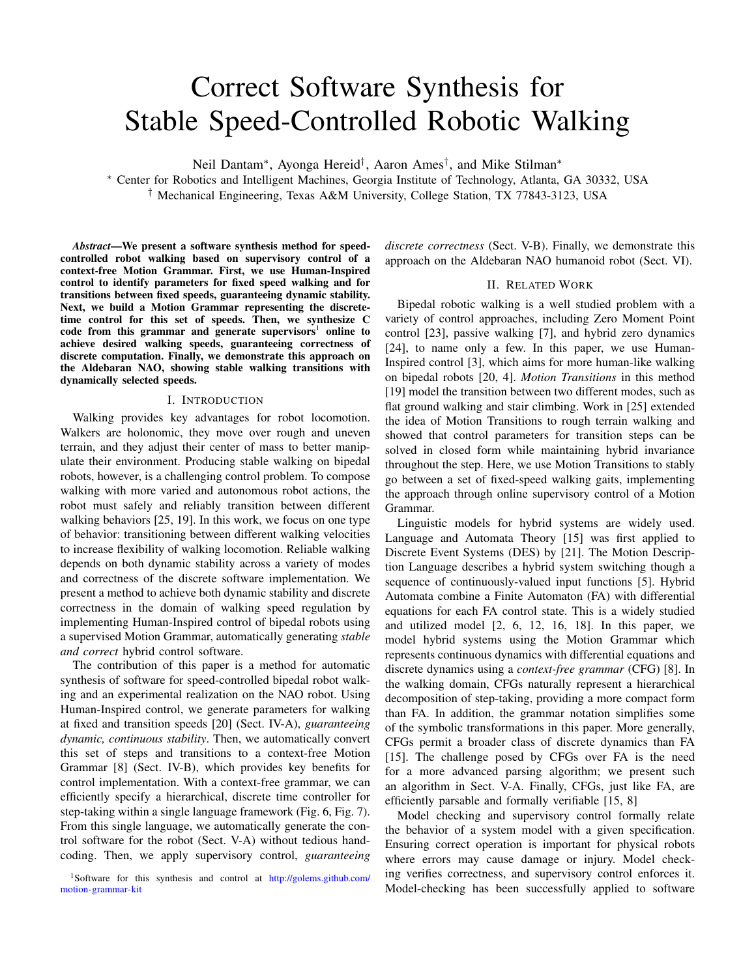# Correct Software Synthesis for Stable Speed-Controlled Robotic Walking

Neil Dantam<sup>∗</sup>, Ayonga Hereid<sup>†</sup>, Aaron Ames<sup>†</sup>, and Mike Stilman<sup>∗</sup>

<sup>∗</sup> Center for Robotics and Intelligent Machines, Georgia Institute of Technology, Atlanta, GA 30332, USA

† Mechanical Engineering, Texas A&M University, College Station, TX 77843-3123, USA

*Abstract*—We present a software synthesis method for speedcontrolled robot walking based on supervisory control of a context-free Motion Grammar. First, we use Human-Inspired control to identify parameters for fixed speed walking and for transitions between fixed speeds, guaranteeing dynamic stability. Next, we build a Motion Grammar representing the discretetime control for this set of speeds. Then, we synthesize C code from this grammar and generate supervisors<sup>[1](#page-0-0)</sup> online to achieve desired walking speeds, guaranteeing correctness of discrete computation. Finally, we demonstrate this approach on the Aldebaran NAO, showing stable walking transitions with dynamically selected speeds.

# I. INTRODUCTION

Walking provides key advantages for robot locomotion. Walkers are holonomic, they move over rough and uneven terrain, and they adjust their center of mass to better manipulate their environment. Producing stable walking on bipedal robots, however, is a challenging control problem. To compose walking with more varied and autonomous robot actions, the robot must safely and reliably transition between different walking behaviors [\[25,](#page-7-0) [19\]](#page-7-1). In this work, we focus on one type of behavior: transitioning between different walking velocities to increase flexibility of walking locomotion. Reliable walking depends on both dynamic stability across a variety of modes and correctness of the discrete software implementation. We present a method to achieve both dynamic stability and discrete correctness in the domain of walking speed regulation by implementing Human-Inspired control of bipedal robots using a supervised Motion Grammar, automatically generating *stable and correct* hybrid control software.

The contribution of this paper is a method for automatic synthesis of software for speed-controlled bipedal robot walking and an experimental realization on the NAO robot. Using Human-Inspired control, we generate parameters for walking at fixed and transition speeds [\[20\]](#page-7-2) [\(Sect. IV-A\)](#page-2-0), *guaranteeing dynamic, continuous stability*. Then, we automatically convert this set of steps and transitions to a context-free Motion Grammar [\[8\]](#page-7-3) [\(Sect. IV-B\)](#page-4-0), which provides key benefits for control implementation. With a context-free grammar, we can efficiently specify a hierarchical, discrete time controller for step-taking within a single language framework [\(Fig. 6,](#page-4-1) [Fig. 7\)](#page-4-2). From this single language, we automatically generate the control software for the robot [\(Sect. V-A\)](#page-5-0) without tedious handcoding. Then, we apply supervisory control, *guaranteeing*

<span id="page-0-0"></span><sup>1</sup>Software for this synthesis and control at [http://golems.github.com/](http://golems.github.com/motion-grammar-kit) [motion-grammar-kit](http://golems.github.com/motion-grammar-kit)

*discrete correctness* [\(Sect. V-B\)](#page-5-1). Finally, we demonstrate this approach on the Aldebaran NAO humanoid robot [\(Sect. VI\)](#page-6-0).

# II. RELATED WORK

Bipedal robotic walking is a well studied problem with a variety of control approaches, including Zero Moment Point control [\[23\]](#page-7-4), passive walking [\[7\]](#page-7-5), and hybrid zero dynamics [\[24\]](#page-7-6), to name only a few. In this paper, we use Human-Inspired control [\[3\]](#page-7-7), which aims for more human-like walking on bipedal robots [\[20,](#page-7-2) [4\]](#page-7-8). *Motion Transitions* in this method [\[19\]](#page-7-1) model the transition between two different modes, such as flat ground walking and stair climbing. Work in [\[25\]](#page-7-0) extended the idea of Motion Transitions to rough terrain walking and showed that control parameters for transition steps can be solved in closed form while maintaining hybrid invariance throughout the step. Here, we use Motion Transitions to stably go between a set of fixed-speed walking gaits, implementing the approach through online supervisory control of a Motion Grammar.

Linguistic models for hybrid systems are widely used. Language and Automata Theory [\[15\]](#page-7-9) was first applied to Discrete Event Systems (DES) by [\[21\]](#page-7-10). The Motion Description Language describes a hybrid system switching though a sequence of continuously-valued input functions [\[5\]](#page-7-11). Hybrid Automata combine a Finite Automaton (FA) with differential equations for each FA control state. This is a widely studied and utilized model [\[2,](#page-7-12) [6,](#page-7-13) [12,](#page-7-14) [16,](#page-7-15) [18\]](#page-7-16). In this paper, we model hybrid systems using the Motion Grammar which represents continuous dynamics with differential equations and discrete dynamics using a *context-free grammar* (CFG) [\[8\]](#page-7-3). In the walking domain, CFGs naturally represent a hierarchical decomposition of step-taking, providing a more compact form than FA. In addition, the grammar notation simplifies some of the symbolic transformations in this paper. More generally, CFGs permit a broader class of discrete dynamics than FA [\[15\]](#page-7-9). The challenge posed by CFGs over FA is the need for a more advanced parsing algorithm; we present such an algorithm in [Sect. V-A.](#page-5-0) Finally, CFGs, just like FA, are efficiently parsable and formally verifiable [\[15,](#page-7-9) [8\]](#page-7-3)

Model checking and supervisory control formally relate the behavior of a system model with a given specification. Ensuring correct operation is important for physical robots where errors may cause damage or injury. Model checking verifies correctness, and supervisory control enforces it. Model-checking has been successfully applied to software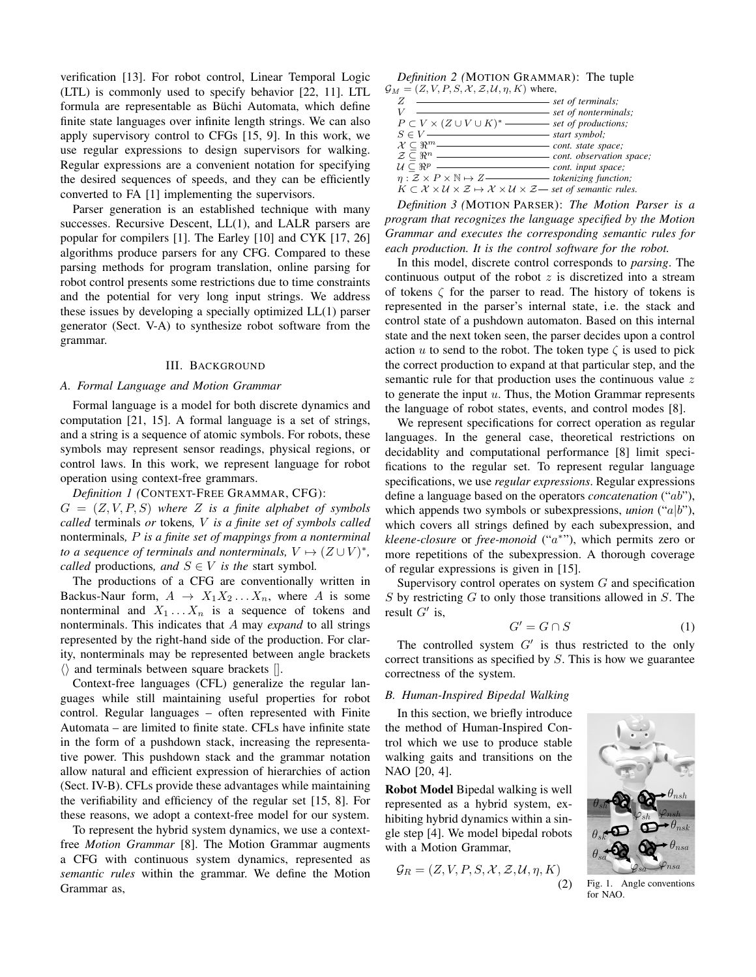verification [\[13\]](#page-7-17). For robot control, Linear Temporal Logic (LTL) is commonly used to specify behavior [\[22,](#page-7-18) [11\]](#page-7-19). LTL formula are representable as Büchi Automata, which define finite state languages over infinite length strings. We can also apply supervisory control to CFGs [\[15,](#page-7-9) [9\]](#page-7-20). In this work, we use regular expressions to design supervisors for walking. Regular expressions are a convenient notation for specifying the desired sequences of speeds, and they can be efficiently converted to FA [\[1\]](#page-7-21) implementing the supervisors.

Parser generation is an established technique with many successes. Recursive Descent, LL(1), and LALR parsers are popular for compilers [\[1\]](#page-7-21). The Earley [\[10\]](#page-7-22) and CYK [\[17,](#page-7-23) [26\]](#page-7-24) algorithms produce parsers for any CFG. Compared to these parsing methods for program translation, online parsing for robot control presents some restrictions due to time constraints and the potential for very long input strings. We address these issues by developing a specially optimized LL(1) parser generator [\(Sect. V-A\)](#page-5-0) to synthesize robot software from the grammar.

# III. BACKGROUND

## *A. Formal Language and Motion Grammar*

Formal language is a model for both discrete dynamics and computation [\[21,](#page-7-10) [15\]](#page-7-9). A formal language is a set of strings, and a string is a sequence of atomic symbols. For robots, these symbols may represent sensor readings, physical regions, or control laws. In this work, we represent language for robot operation using context-free grammars.

*Definition 1 (*CONTEXT-FREE GRAMMAR, CFG):  $G = (Z, V, P, S)$  where Z is a finite alphabet of symbols *called* terminals *or* tokens*,* V *is a finite set of symbols called* nonterminals*,* P *is a finite set of mappings from a nonterminal to a sequence of terminals and nonterminals,*  $V \mapsto (Z \cup V)^*$ , *called* productions, and  $S \in V$  *is the* start symbol.

The productions of a CFG are conventionally written in Backus-Naur form,  $A \rightarrow X_1 X_2 ... X_n$ , where A is some nonterminal and  $X_1 \ldots X_n$  is a sequence of tokens and nonterminals. This indicates that A may *expand* to all strings represented by the right-hand side of the production. For clarity, nonterminals may be represented between angle brackets  $\langle \rangle$  and terminals between square brackets [].

Context-free languages (CFL) generalize the regular languages while still maintaining useful properties for robot control. Regular languages – often represented with Finite Automata – are limited to finite state. CFLs have infinite state in the form of a pushdown stack, increasing the representative power. This pushdown stack and the grammar notation allow natural and efficient expression of hierarchies of action [\(Sect. IV-B\)](#page-4-0). CFLs provide these advantages while maintaining the verifiability and efficiency of the regular set [\[15,](#page-7-9) [8\]](#page-7-3). For these reasons, we adopt a context-free model for our system.

To represent the hybrid system dynamics, we use a contextfree *Motion Grammar* [\[8\]](#page-7-3). The Motion Grammar augments a CFG with continuous system dynamics, represented as *semantic rules* within the grammar. We define the Motion Grammar as,

*Definition 2 (*MOTION GRAMMAR): The tuple  $\mathcal{G}_M = (Z, V, P, S, \mathcal{X}, \mathcal{Z}, \mathcal{U}, \eta, K)$  where,

|                                                                                                                                                | <i><u>Set of terminals;</u></i>             |
|------------------------------------------------------------------------------------------------------------------------------------------------|---------------------------------------------|
|                                                                                                                                                | - set of nonterminals;                      |
| $P \subset V \times (Z \cup V \cup K)^*$ set of productions;                                                                                   |                                             |
| $S \in V$ —                                                                                                                                    | $\longrightarrow$ start symbol;             |
| $\mathcal{X} \subseteq \Re^m$ —                                                                                                                | - cont. state space;                        |
| $\mathcal{Z} \subset \Re^n$ —                                                                                                                  | cont. observation space;                    |
| $\mathcal{U} \subseteq \Re^p$ —                                                                                                                | $\overline{\phantom{a}}$ cont. input space; |
|                                                                                                                                                |                                             |
| $K \subset \mathcal{X} \times \mathcal{U} \times \mathcal{Z} \mapsto \mathcal{X} \times \mathcal{U} \times \mathcal{Z}$ set of semantic rules. |                                             |
|                                                                                                                                                |                                             |

<span id="page-1-1"></span>*Definition 3 (*MOTION PARSER): *The Motion Parser is a program that recognizes the language specified by the Motion Grammar and executes the corresponding semantic rules for each production. It is the control software for the robot.*

In this model, discrete control corresponds to *parsing*. The continuous output of the robot  $z$  is discretized into a stream of tokens  $\zeta$  for the parser to read. The history of tokens is represented in the parser's internal state, i.e. the stack and control state of a pushdown automaton. Based on this internal state and the next token seen, the parser decides upon a control action u to send to the robot. The token type  $\zeta$  is used to pick the correct production to expand at that particular step, and the semantic rule for that production uses the continuous value z to generate the input  $u$ . Thus, the Motion Grammar represents the language of robot states, events, and control modes [\[8\]](#page-7-3).

We represent specifications for correct operation as regular languages. In the general case, theoretical restrictions on decidablity and computational performance [\[8\]](#page-7-3) limit specifications to the regular set. To represent regular language specifications, we use *regular expressions*. Regular expressions define a language based on the operators *concatenation* ("ab"), which appends two symbols or subexpressions, *union* ("a|b"), which covers all strings defined by each subexpression, and *kleene-closure* or *free-monoid* ("a ∗ "), which permits zero or more repetitions of the subexpression. A thorough coverage of regular expressions is given in [\[15\]](#page-7-9).

Supervisory control operates on system  $G$  and specification  $S$  by restricting  $G$  to only those transitions allowed in  $S$ . The result  $G'$  is,

$$
G' = G \cap S \tag{1}
$$

The controlled system  $G'$  is thus restricted to the only correct transitions as specified by S. This is how we guarantee correctness of the system.

#### *B. Human-Inspired Bipedal Walking*

In this section, we briefly introduce the method of Human-Inspired Control which we use to produce stable walking gaits and transitions on the NAO [\[20,](#page-7-2) [4\]](#page-7-8).

Robot Model Bipedal walking is well represented as a hybrid system, exhibiting hybrid dynamics within a single step [\[4\]](#page-7-8). We model bipedal robots with a Motion Grammar,

$$
\mathcal{G}_R = (Z, V, P, S, \mathcal{X}, \mathcal{Z}, \mathcal{U}, \eta, K)
$$
\n<sup>(2)</sup>

<span id="page-1-0"></span>

Fig. 1. Angle conventions for NAO.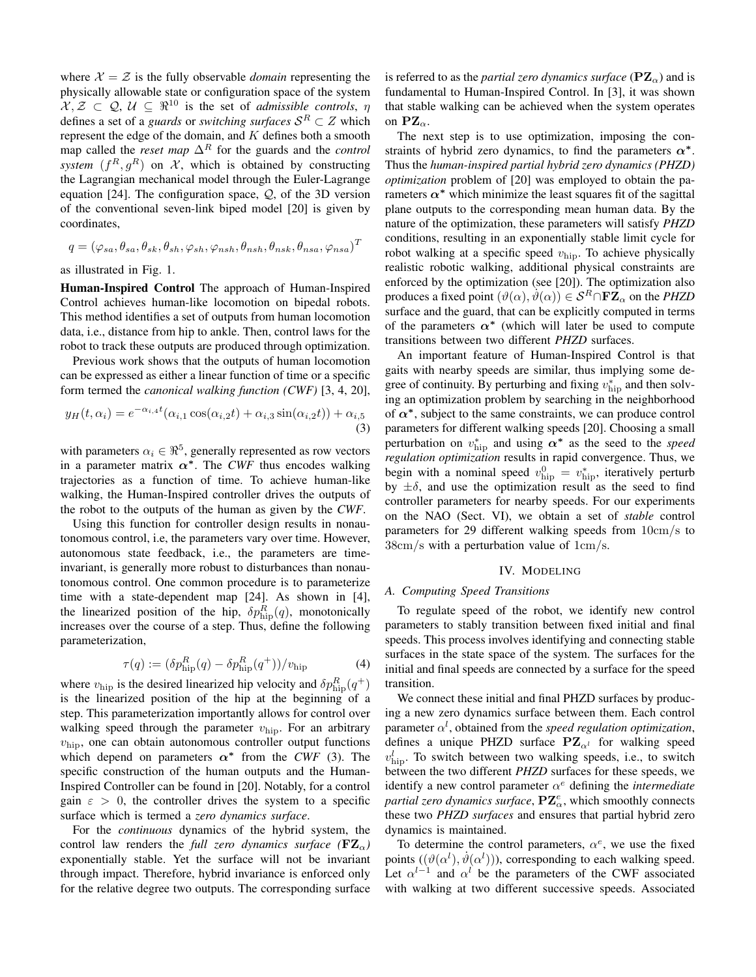where  $\mathcal{X} = \mathcal{Z}$  is the fully observable *domain* representing the physically allowable state or configuration space of the system  $X, Z \subset Q, U \subseteq \mathbb{R}^{10}$  is the set of *admissible controls*,  $\eta$ defines a set of a *guards* or *switching surfaces*  $S^R \subset Z$  which represent the edge of the domain, and  $K$  defines both a smooth map called the *reset map*  $\Delta^R$  for the guards and the *control* system  $(f^R, g^R)$  on  $\mathcal{X}$ , which is obtained by constructing the Lagrangian mechanical model through the Euler-Lagrange equation [\[24\]](#page-7-6). The configuration space, Q, of the 3D version of the conventional seven-link biped model [\[20\]](#page-7-2) is given by coordinates,

$$
q = (\varphi_{sa}, \theta_{sa}, \theta_{sk}, \theta_{sh}, \varphi_{sh}, \varphi_{nsh}, \theta_{nsh}, \theta_{nsk}, \theta_{nsa}, \varphi_{nsa})^T
$$

as illustrated in [Fig. 1.](#page-1-0)

Human-Inspired Control The approach of Human-Inspired Control achieves human-like locomotion on bipedal robots. This method identifies a set of outputs from human locomotion data, i.e., distance from hip to ankle. Then, control laws for the robot to track these outputs are produced through optimization.

Previous work shows that the outputs of human locomotion can be expressed as either a linear function of time or a specific form termed the *canonical walking function (CWF)* [\[3,](#page-7-7) [4,](#page-7-8) [20\]](#page-7-2),

$$
y_H(t, \alpha_i) = e^{-\alpha_{i,4}t} (\alpha_{i,1} \cos(\alpha_{i,2}t) + \alpha_{i,3} \sin(\alpha_{i,2}t)) + \alpha_{i,5}
$$
\n(3)

with parameters  $\alpha_i \in \mathbb{R}^5$ , generally represented as row vectors in a parameter matrix  $\alpha^*$ . The *CWF* thus encodes walking trajectories as a function of time. To achieve human-like walking, the Human-Inspired controller drives the outputs of the robot to the outputs of the human as given by the *CWF*.

Using this function for controller design results in nonautonomous control, i.e, the parameters vary over time. However, autonomous state feedback, i.e., the parameters are timeinvariant, is generally more robust to disturbances than nonautonomous control. One common procedure is to parameterize time with a state-dependent map [\[24\]](#page-7-6). As shown in [\[4\]](#page-7-8), the linearized position of the hip,  $\delta p_{\rm hip}^R(q)$ , monotonically increases over the course of a step. Thus, define the following parameterization,

<span id="page-2-2"></span>
$$
\tau(q) := (\delta p_{\text{hip}}^R(q) - \delta p_{\text{hip}}^R(q^+))/v_{\text{hip}}
$$
\n(4)

where  $v_{\rm hip}$  is the desired linearized hip velocity and  $\delta p_{\rm hip}^R(q^+)$ is the linearized position of the hip at the beginning of a step. This parameterization importantly allows for control over walking speed through the parameter  $v_{\text{hip}}$ . For an arbitrary  $v_{\text{hip}}$ , one can obtain autonomous controller output functions which depend on parameters  $\alpha^*$  from the *CWF* [\(3\)](#page-2-1). The specific construction of the human outputs and the Human-Inspired Controller can be found in [\[20\]](#page-7-2). Notably, for a control gain  $\varepsilon > 0$ , the controller drives the system to a specific surface which is termed a *zero dynamics surface*.

For the *continuous* dynamics of the hybrid system, the control law renders the *full zero dynamics surface* ( $\mathbf{FZ}_{\alpha}$ ) exponentially stable. Yet the surface will not be invariant through impact. Therefore, hybrid invariance is enforced only for the relative degree two outputs. The corresponding surface is referred to as the *partial zero dynamics surface* ( $\mathbf{PZ}_{\alpha}$ ) and is fundamental to Human-Inspired Control. In [\[3\]](#page-7-7), it was shown that stable walking can be achieved when the system operates on  $\mathbf{PZ}_{\alpha}$ .

The next step is to use optimization, imposing the constraints of hybrid zero dynamics, to find the parameters  $\alpha^*$ . Thus the *human-inspired partial hybrid zero dynamics (PHZD) optimization* problem of [\[20\]](#page-7-2) was employed to obtain the parameters  $\alpha^*$  which minimize the least squares fit of the sagittal plane outputs to the corresponding mean human data. By the nature of the optimization, these parameters will satisfy *PHZD* conditions, resulting in an exponentially stable limit cycle for robot walking at a specific speed  $v_{\text{hip}}$ . To achieve physically realistic robotic walking, additional physical constraints are enforced by the optimization (see [\[20\]](#page-7-2)). The optimization also produces a fixed point  $(\vartheta(\alpha), \vartheta(\alpha)) \in \mathcal{S}^R \cap \mathbf{FZ}_{\alpha}$  on the *PHZD* surface and the guard, that can be explicitly computed in terms of the parameters  $\alpha^*$  (which will later be used to compute transitions between two different *PHZD* surfaces.

<span id="page-2-1"></span>An important feature of Human-Inspired Control is that gaits with nearby speeds are similar, thus implying some degree of continuity. By perturbing and fixing  $v_{\text{hip}}^{*}$  and then solving an optimization problem by searching in the neighborhood of  $\alpha^*$ , subject to the same constraints, we can produce control parameters for different walking speeds [\[20\]](#page-7-2). Choosing a small perturbation on  $v_{\text{hip}}^*$  and using  $\alpha^*$  as the seed to the *speed regulation optimization* results in rapid convergence. Thus, we begin with a nominal speed  $v_{\text{hip}}^0 = v_{\text{hip}}^*$ , iteratively perturb by  $\pm \delta$ , and use the optimization result as the seed to find controller parameters for nearby speeds. For our experiments on the NAO [\(Sect. VI\)](#page-6-0), we obtain a set of *stable* control parameters for 29 different walking speeds from 10cm/s to 38cm/s with a perturbation value of 1cm/s.

## IV. MODELING

# <span id="page-2-0"></span>*A. Computing Speed Transitions*

To regulate speed of the robot, we identify new control parameters to stably transition between fixed initial and final speeds. This process involves identifying and connecting stable surfaces in the state space of the system. The surfaces for the initial and final speeds are connected by a surface for the speed transition.

We connect these initial and final PHZD surfaces by producing a new zero dynamics surface between them. Each control parameter  $\alpha^l$ , obtained from the *speed regulation optimization*, defines a unique PHZD surface  $PZ_{\alpha^l}$  for walking speed  $v_{\rm hip}^l$ . To switch between two walking speeds, i.e., to switch between the two different *PHZD* surfaces for these speeds, we identify a new control parameter  $\alpha^e$  defining the *intermediate partial zero dynamics surface*,  $P\mathbf{Z}_{\alpha}^{e}$ , which smoothly connects these two *PHZD surfaces* and ensures that partial hybrid zero dynamics is maintained.

To determine the control parameters,  $\alpha^e$ , we use the fixed points  $((\vartheta(\alpha^l), \dot{\vartheta}(\alpha^l)))$ , corresponding to each walking speed. Let  $\alpha^{l-1}$  and  $\alpha^l$  be the parameters of the CWF associated with walking at two different successive speeds. Associated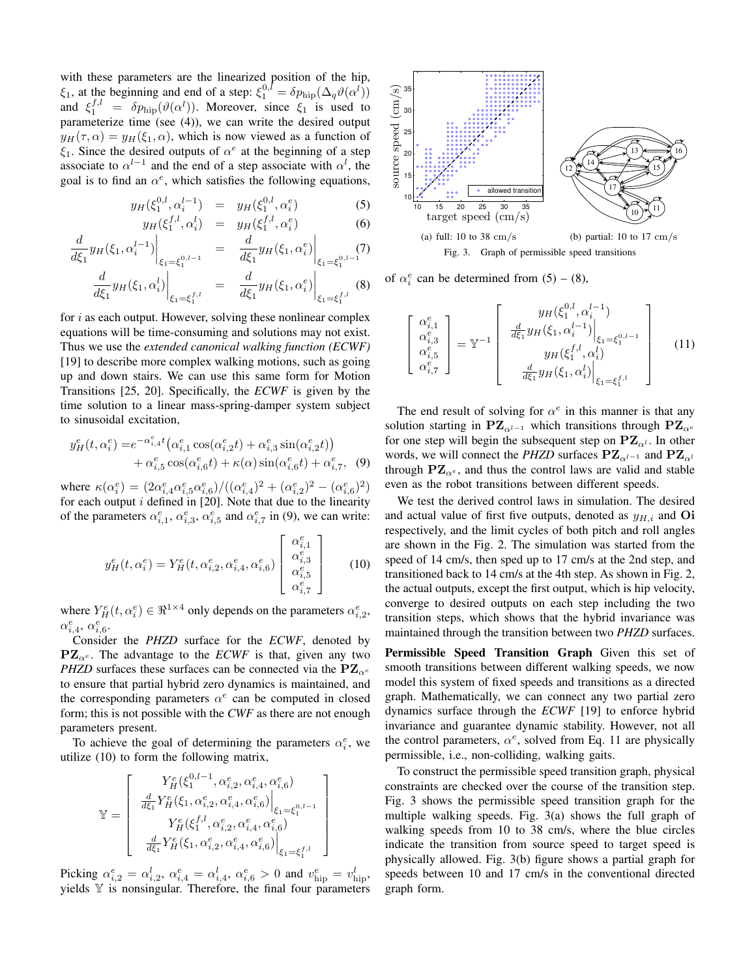with these parameters are the linearized position of the hip,  $\xi_1$ , at the beginning and end of a step:  $\xi_1^{0,l} = \delta p_{\text{hip}}(\Delta_q \vartheta(\alpha^l))$ and  $\xi_1^{f,l} = \delta p_{\text{hip}}(\vartheta(\alpha^l))$ . Moreover, since  $\xi_1$  is used to parameterize time (see [\(4\)](#page-2-2)), we can write the desired output  $y_H(\tau, \alpha) = y_H(\xi_1, \alpha)$ , which is now viewed as a function of  $\xi_1$ . Since the desired outputs of  $\alpha^e$  at the beginning of a step associate to  $\alpha^{l-1}$  and the end of a step associate with  $\alpha^l$ , the goal is to find an  $\alpha^e$ , which satisfies the following equations,

<span id="page-3-2"></span>
$$
y_H(\xi_1^{0,l}, \alpha_i^{l-1}) = y_H(\xi_1^{0,l}, \alpha_i^e)
$$
(5)  

$$
y_H(\xi_1^{f,l}, \alpha_i^l) = y_H(\xi_1^{f,l}, \alpha_i^e)
$$
(6)

$$
\frac{d}{d\xi_1} y_H(\xi_1, \alpha_i^{l-1})\Big|_{\xi_1 = \xi_1^{0, l-1}} = \frac{d}{d\xi_1} y_H(\xi_1, \alpha_i^e)\Big|_{\xi_1 = \xi_1^{0, l-1}} (7)
$$

$$
\left. \frac{d}{d\xi_1} y_H(\xi_1, \alpha_i^l) \right|_{\xi_1 = \xi_1^{f,l}} = \left. \frac{d}{d\xi_1} y_H(\xi_1, \alpha_i^e) \right|_{\xi_1 = \xi_1^{f,l}} (8)
$$

for  $i$  as each output. However, solving these nonlinear complex equations will be time-consuming and solutions may not exist. Thus we use the *extended canonical walking function (ECWF)* [\[19\]](#page-7-1) to describe more complex walking motions, such as going up and down stairs. We can use this same form for Motion Transitions [\[25,](#page-7-0) [20\]](#page-7-2). Specifically, the *ECWF* is given by the time solution to a linear mass-spring-damper system subject to sinusoidal excitation,

$$
y_H^e(t, \alpha_i^e) = e^{-\alpha_{i,4}^e t} \left( \alpha_{i,1}^e \cos(\alpha_{i,2}^e t) + \alpha_{i,3}^e \sin(\alpha_{i,2}^e t) \right) + \alpha_{i,5}^e \cos(\alpha_{i,6}^e t) + \kappa(\alpha) \sin(\alpha_{i,6}^e t) + \alpha_{i,7}^e, (9)
$$

where  $\kappa(\alpha_i^e) = (2\alpha_{i,4}^e \alpha_{i,5}^e \alpha_{i,6}^e)/((\alpha_{i,4}^e)^2 + (\alpha_{i,2}^e)^2 - (\alpha_{i,6}^e)^2)$ for each output  $i$  defined in [\[20\]](#page-7-2). Note that due to the linearity of the parameters  $\alpha_{i,1}^e$ ,  $\alpha_{i,3}^e$ ,  $\alpha_{i,5}^e$  and  $\alpha_{i,7}^e$  in [\(9\)](#page-3-0), we can write:

$$
y_H^e(t, \alpha_i^e) = Y_H^e(t, \alpha_{i,2}^e, \alpha_{i,4}^e, \alpha_{i,6}^e) \begin{bmatrix} \alpha_{i,1}^e \\ \alpha_{i,3}^e \\ \alpha_{i,5}^e \\ \alpha_{i,7}^e \end{bmatrix}
$$
 (10)

where  $Y_H^e(t, \alpha_i^e) \in \Re^{1 \times 4}$  only depends on the parameters  $\alpha_{i,2}^e$ ,  $\alpha_{i,4}^e, \alpha_{i,6}^e.$ 

Consider the *PHZD* surface for the *ECWF*, denoted by  $\mathbf{PZ}_{\alpha^e}$ . The advantage to the *ECWF* is that, given any two *PHZD* surfaces these surfaces can be connected via the  $PZ_{\alpha}e$ to ensure that partial hybrid zero dynamics is maintained, and the corresponding parameters  $\alpha^e$  can be computed in closed form; this is not possible with the *CWF* as there are not enough parameters present.

To achieve the goal of determining the parameters  $\alpha_i^e$ , we utilize [\(10\)](#page-3-1) to form the following matrix,

$$
\mathbb{Y} = \left[ \begin{array}{c} Y_H^e(\xi_1^{0,l-1},\alpha_{i,2}^e,\alpha_{i,4}^e,\alpha_{i,6}^e) \\ \left. \frac{d}{d\xi_1} Y_H^e(\xi_1,\alpha_{i,2}^e,\alpha_{i,4}^e,\alpha_{i,6}^e) \right|_{\xi_1 = \xi_1^{0,l-1}} \\ Y_H^e(\xi_1^{f,l},\alpha_{i,2}^e,\alpha_{i,4}^e,\alpha_{i,6}^e) \\ \left. \frac{d}{d\xi_1} Y_H^e(\xi_1,\alpha_{i,2}^e,\alpha_{i,4}^e,\alpha_{i,6}^e) \right|_{\xi_1 = \xi_1^{f,l}} \end{array} \right]
$$

Picking  $\alpha_{i,2}^e = \alpha_{i,2}^l$ ,  $\alpha_{i,4}^e = \alpha_{i,4}^l$ ,  $\alpha_{i,6}^e > 0$  and  $v_{\text{hip}}^e = v_{\text{hip}}^l$ , yields  $V$  is nonsingular. Therefore, the final four parameters

<span id="page-3-5"></span>

of  $\alpha_i^e$  can be determined from [\(5\)](#page-3-2) – [\(8\)](#page-3-2),

<span id="page-3-6"></span><span id="page-3-4"></span><span id="page-3-3"></span>
$$
\begin{bmatrix}\n\alpha_{i,1}^{e} \\
\alpha_{i,3}^{e} \\
\alpha_{i,5}^{e} \\
\alpha_{i,7}^{e}\n\end{bmatrix} = \mathbb{Y}^{-1} \begin{bmatrix}\ny_H(\xi_1^{0,l}, \alpha_i^{l-1}) \\
\frac{d}{d\xi_1} y_H(\xi_1, \alpha_i^{l-1})\Big|_{\xi_1 = \xi_1^{0,l-1}} \\
y_H(\xi_1^{f,l}, \alpha_i^{l}) \\
\frac{d}{d\xi_1} y_H(\xi_1, \alpha_i^{l})\Big|_{\xi_1 = \xi_1^{f,l}}\n\end{bmatrix} (11)
$$

<span id="page-3-0"></span>The end result of solving for  $\alpha^e$  in this manner is that any solution starting in PZ $_{\alpha^{l-1}}$  which transitions through PZ $_{\alpha^{e}}$ for one step will begin the subsequent step on  $\mathbf{PZ}_{\alpha^l}$ . In other words, we will connect the *PHZD* surfaces  $PZ_{\alpha^{l-1}}$  and  $PZ_{\alpha^{l}}$ through  $PZ_{\alpha^e}$ , and thus the control laws are valid and stable even as the robot transitions between different speeds.

<span id="page-3-1"></span>We test the derived control laws in simulation. The desired and actual value of first five outputs, denoted as  $y_{H,i}$  and Oi respectively, and the limit cycles of both pitch and roll angles are shown in the [Fig. 2.](#page-4-3) The simulation was started from the speed of 14 cm/s, then sped up to 17 cm/s at the 2nd step, and transitioned back to 14 cm/s at the 4th step. As shown in [Fig. 2,](#page-4-3) the actual outputs, except the first output, which is hip velocity, converge to desired outputs on each step including the two transition steps, which shows that the hybrid invariance was maintained through the transition between two *PHZD* surfaces.

Permissible Speed Transition Graph Given this set of smooth transitions between different walking speeds, we now model this system of fixed speeds and transitions as a directed graph. Mathematically, we can connect any two partial zero dynamics surface through the *ECWF* [\[19\]](#page-7-1) to enforce hybrid invariance and guarantee dynamic stability. However, not all the control parameters,  $\alpha^e$ , solved from [Eq. 11](#page-3-3) are physically permissible, i.e., non-colliding, walking gaits.

To construct the permissible speed transition graph, physical constraints are checked over the course of the transition step. [Fig. 3](#page-3-4) shows the permissible speed transition graph for the multiple walking speeds. [Fig. 3\(a\)](#page-3-5) shows the full graph of walking speeds from 10 to 38 cm/s, where the blue circles indicate the transition from source speed to target speed is physically allowed. [Fig. 3\(b\)](#page-3-6) figure shows a partial graph for speeds between 10 and 17 cm/s in the conventional directed graph form.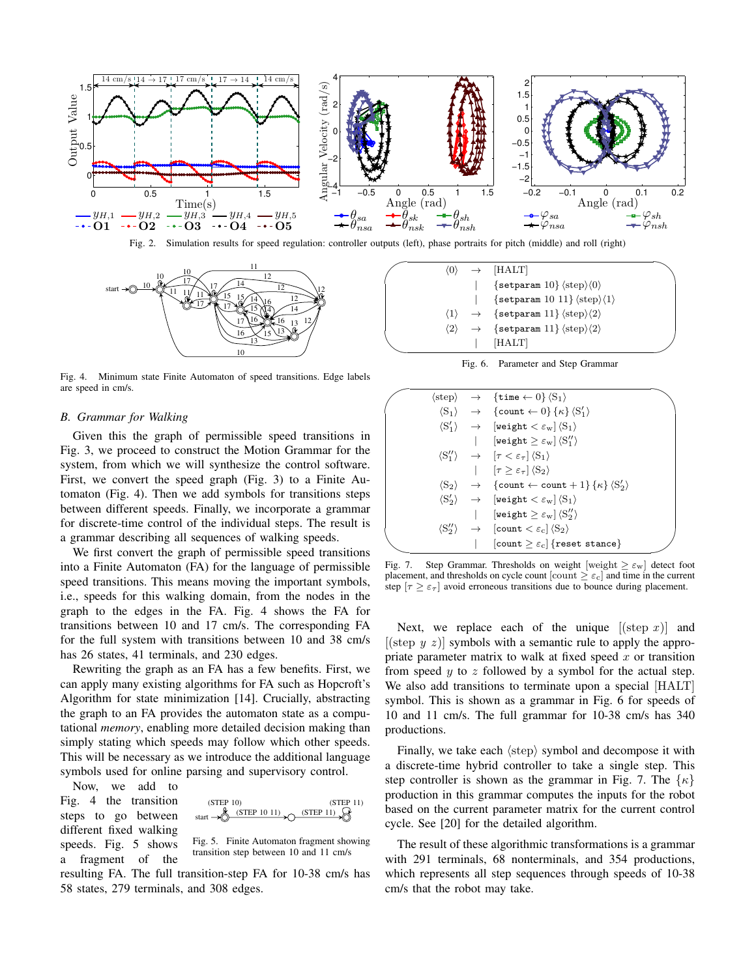

<span id="page-4-3"></span>Fig. 2. Simulation results for speed regulation: controller outputs (left), phase portraits for pitch (middle) and roll (right)



<span id="page-4-4"></span>Fig. 4. Minimum state Finite Automaton of speed transitions. Edge labels are speed in cm/s.

## <span id="page-4-0"></span>*B. Grammar for Walking*

Given this the graph of permissible speed transitions in [Fig. 3,](#page-3-4) we proceed to construct the Motion Grammar for the system, from which we will synthesize the control software. First, we convert the speed graph [\(Fig. 3\)](#page-3-4) to a Finite Automaton [\(Fig. 4\)](#page-4-4). Then we add symbols for transitions steps between different speeds. Finally, we incorporate a grammar for discrete-time control of the individual steps. The result is a grammar describing all sequences of walking speeds.

We first convert the graph of permissible speed transitions into a Finite Automaton (FA) for the language of permissible speed transitions. This means moving the important symbols, i.e., speeds for this walking domain, from the nodes in the graph to the edges in the FA. [Fig. 4](#page-4-4) shows the FA for transitions between 10 and 17 cm/s. The corresponding FA for the full system with transitions between 10 and 38 cm/s has 26 states, 41 terminals, and 230 edges.

Rewriting the graph as an FA has a few benefits. First, we can apply many existing algorithms for FA such as Hopcroft's Algorithm for state minimization [\[14\]](#page-7-25). Crucially, abstracting the graph to an FA provides the automaton state as a computational *memory*, enabling more detailed decision making than simply stating which speeds may follow which other speeds. This will be necessary as we introduce the additional language symbols used for online parsing and supervisory control.

Now, we add to [Fig. 4](#page-4-4) the transition steps to go between different fixed walking speeds. [Fig. 5](#page-4-5) shows a fragment of the



<span id="page-4-5"></span>Fig. 5. Finite Automaton fragment showing transition step between 10 and 11 cm/s

resulting FA. The full transition-step FA for 10-38 cm/s has 58 states, 279 terminals, and 308 edges.

| $\langle 0 \rangle$ | $\rightarrow$ [HALT]                                                       |
|---------------------|----------------------------------------------------------------------------|
|                     | $\{setparam 10\}$ $\langle step \rangle$ $\langle 0 \rangle$               |
|                     | $\{setparam 10 11\} \langle step \rangle \langle 1 \rangle$                |
| $\langle 1 \rangle$ | $\rightarrow$ {setparam 11} $\langle$ step $\rangle$ $\langle$ 2 $\rangle$ |
| $\langle 2 \rangle$ | $\rightarrow$ {setparam 11} $\langle$ step $\rangle$ $\langle$ 2 $\rangle$ |
|                     | [HALT]                                                                     |

<span id="page-4-1"></span>Fig. 6. Parameter and Step Grammar

|  | $\langle \text{step} \rangle \rightarrow \{ \text{time} \leftarrow 0 \} \langle S_1 \rangle$             |  |
|--|----------------------------------------------------------------------------------------------------------|--|
|  | $\langle S_1 \rangle \rightarrow \{\text{count} \leftarrow 0\} \{\kappa\} \langle S_1' \rangle$          |  |
|  | $\langle S_1' \rangle \rightarrow$ [weight $\langle \varepsilon_w   \langle S_1 \rangle$                 |  |
|  | $\left[\texttt{weight} \geq \varepsilon_{\mathrm{w}}\right] \left\langle \mathrm{S}''_{1} \right\rangle$ |  |
|  | $\langle S''_1 \rangle \rightarrow [\tau \langle \varepsilon_{\tau}   \langle S_1 \rangle]$              |  |
|  | $\left  \quad [\tau > \varepsilon_{\tau}] \langle S_2 \rangle \right $                                   |  |
|  | $\langle S_2 \rangle \rightarrow \{count \leftarrow count + 1\} \{ \kappa \} \langle S_2' \rangle$       |  |
|  | $\langle S'_2 \rangle \rightarrow$ [weight $\langle \varepsilon_w   S_1 \rangle$                         |  |
|  | [weight $>\varepsilon_{\rm w}$ ] $\langle S_2'' \rangle$                                                 |  |
|  | $\langle S_2'' \rangle \rightarrow$ [count $\langle \varepsilon_c   \langle S_2 \rangle$ ]               |  |
|  | $\lceil \texttt{count} \geq \varepsilon_{\text{c}} \rceil \{\texttt{reset}~\texttt{stance}\}$            |  |
|  |                                                                                                          |  |

<span id="page-4-2"></span>Fig. 7. Step Grammar. Thresholds on weight  $[weight \geq \varepsilon_w]$  detect foot placement, and thresholds on cycle count [count  $\geq \varepsilon_c$ ] and time in the current step  $[\tau \geq \varepsilon_{\tau}]$  avoid erroneous transitions due to bounce during placement.

Next, we replace each of the unique  $|(\text{step } x)|$  and [(step  $y \thinspace z$ )] symbols with a semantic rule to apply the appropriate parameter matrix to walk at fixed speed  $x$  or transition from speed  $y$  to  $z$  followed by a symbol for the actual step. We also add transitions to terminate upon a special [HALT] symbol. This is shown as a grammar in [Fig. 6](#page-4-1) for speeds of 10 and 11 cm/s. The full grammar for 10-38 cm/s has 340 productions.

Finally, we take each  $\langle$ step $\rangle$  symbol and decompose it with a discrete-time hybrid controller to take a single step. This step controller is shown as the grammar in [Fig. 7.](#page-4-2) The  $\{\kappa\}$ production in this grammar computes the inputs for the robot based on the current parameter matrix for the current control cycle. See [\[20\]](#page-7-2) for the detailed algorithm.

The result of these algorithmic transformations is a grammar with 291 terminals, 68 nonterminals, and 354 productions, which represents all step sequences through speeds of 10-38 cm/s that the robot may take.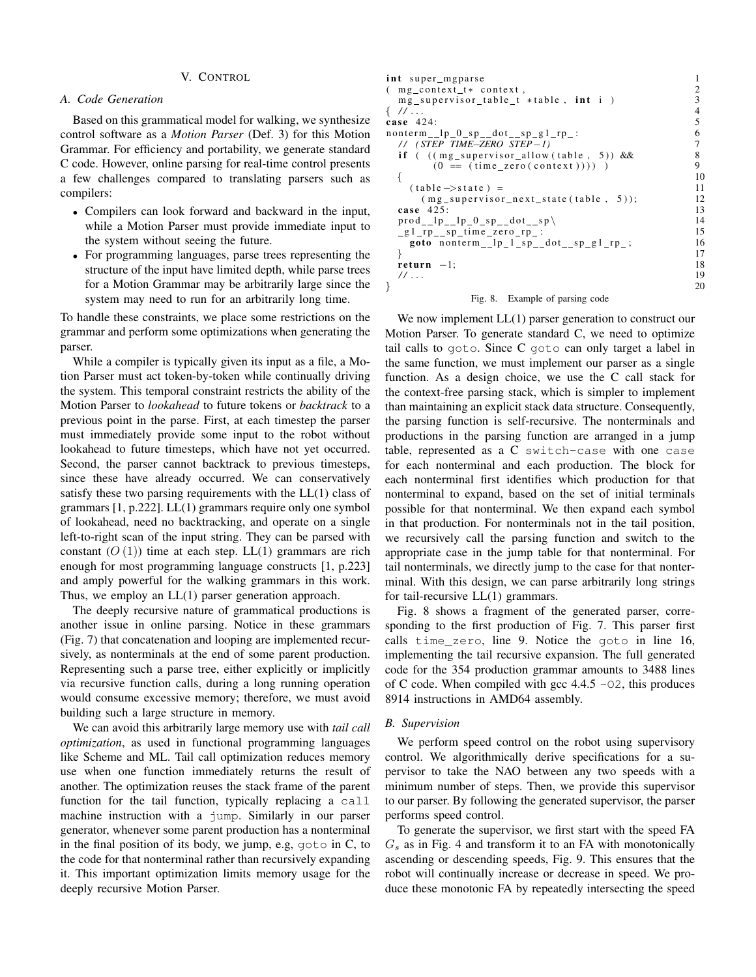#### V. CONTROL

# <span id="page-5-0"></span>*A. Code Generation*

Based on this grammatical model for walking, we synthesize control software as a *Motion Parser* [\(Def. 3\)](#page-1-1) for this Motion Grammar. For efficiency and portability, we generate standard C code. However, online parsing for real-time control presents a few challenges compared to translating parsers such as compilers:

- Compilers can look forward and backward in the input, while a Motion Parser must provide immediate input to the system without seeing the future.
- For programming languages, parse trees representing the structure of the input have limited depth, while parse trees for a Motion Grammar may be arbitrarily large since the system may need to run for an arbitrarily long time.

To handle these constraints, we place some restrictions on the grammar and perform some optimizations when generating the parser.

While a compiler is typically given its input as a file, a Motion Parser must act token-by-token while continually driving the system. This temporal constraint restricts the ability of the Motion Parser to *lookahead* to future tokens or *backtrack* to a previous point in the parse. First, at each timestep the parser must immediately provide some input to the robot without lookahead to future timesteps, which have not yet occurred. Second, the parser cannot backtrack to previous timesteps, since these have already occurred. We can conservatively satisfy these two parsing requirements with the LL(1) class of grammars [\[1,](#page-7-21) p.222]. LL(1) grammars require only one symbol of lookahead, need no backtracking, and operate on a single left-to-right scan of the input string. They can be parsed with constant  $(O(1))$  time at each step. LL(1) grammars are rich enough for most programming language constructs [\[1,](#page-7-21) p.223] and amply powerful for the walking grammars in this work. Thus, we employ an LL(1) parser generation approach.

The deeply recursive nature of grammatical productions is another issue in online parsing. Notice in these grammars [\(Fig. 7\)](#page-4-2) that concatenation and looping are implemented recursively, as nonterminals at the end of some parent production. Representing such a parse tree, either explicitly or implicitly via recursive function calls, during a long running operation would consume excessive memory; therefore, we must avoid building such a large structure in memory.

We can avoid this arbitrarily large memory use with *tail call optimization*, as used in functional programming languages like Scheme and ML. Tail call optimization reduces memory use when one function immediately returns the result of another. The optimization reuses the stack frame of the parent function for the tail function, typically replacing a call machine instruction with a jump. Similarly in our parser generator, whenever some parent production has a nonterminal in the final position of its body, we jump, e.g, goto in C, to the code for that nonterminal rather than recursively expanding it. This important optimization limits memory usage for the deeply recursive Motion Parser.

| int super_mgparse                                                     |    |
|-----------------------------------------------------------------------|----|
| $(mg_{\text{const}}t + \text{context},$                               | 2  |
| $mg$ _supervisor_table_t *table, int i)                               | 3  |
| $\{$ // $\ldots$                                                      | 4  |
| case $424$ :                                                          | 5  |
| $nonterm_{p_0,p_1,p_2} = \text{not}_{p_0,p_2} = \text{not}_{p_1,p_2}$ | 6  |
| // (STEP TIME-ZERO STEP-1)                                            |    |
| <b>if</b> $((mg_supervisor_allow(table, 5))$ & &                      | 8  |
| $(0 == (time\_zero(context))))$ )                                     | 9  |
|                                                                       | 10 |
| $(table \rightarrow state)$ =                                         | 11 |
| $(mg_supervisor_next_state(table, 5));$                               | 12 |
| case $425$ :                                                          | 13 |
| $\text{prod\_lp\_lp_0_s p_dot_s p}$                                   | 14 |
| $_g1_r p$ _sp_time_zero_rp_:                                          | 15 |
| goto nonterm__lp_1_sp__dot__sp_g1_rp_;                                | 16 |
|                                                                       | 17 |
| return $-1$ ;                                                         | 18 |
| 11                                                                    | 19 |
|                                                                       | 20 |

#### <span id="page-5-2"></span>Fig. 8. Example of parsing code

We now implement  $LL(1)$  parser generation to construct our Motion Parser. To generate standard C, we need to optimize tail calls to goto. Since C goto can only target a label in the same function, we must implement our parser as a single function. As a design choice, we use the C call stack for the context-free parsing stack, which is simpler to implement than maintaining an explicit stack data structure. Consequently, the parsing function is self-recursive. The nonterminals and productions in the parsing function are arranged in a jump table, represented as a C switch-case with one case for each nonterminal and each production. The block for each nonterminal first identifies which production for that nonterminal to expand, based on the set of initial terminals possible for that nonterminal. We then expand each symbol in that production. For nonterminals not in the tail position, we recursively call the parsing function and switch to the appropriate case in the jump table for that nonterminal. For tail nonterminals, we directly jump to the case for that nonterminal. With this design, we can parse arbitrarily long strings for tail-recursive LL(1) grammars.

[Fig. 8](#page-5-2) shows a fragment of the generated parser, corresponding to the first production of [Fig. 7.](#page-4-2) This parser first calls time\_zero, line 9. Notice the goto in line 16, implementing the tail recursive expansion. The full generated code for the 354 production grammar amounts to 3488 lines of C code. When compiled with gcc  $4.4.5 - 0.2$ , this produces 8914 instructions in AMD64 assembly.

#### <span id="page-5-1"></span>*B. Supervision*

We perform speed control on the robot using supervisory control. We algorithmically derive specifications for a supervisor to take the NAO between any two speeds with a minimum number of steps. Then, we provide this supervisor to our parser. By following the generated supervisor, the parser performs speed control.

To generate the supervisor, we first start with the speed FA  $G_s$  as in [Fig. 4](#page-4-4) and transform it to an FA with monotonically ascending or descending speeds, [Fig. 9.](#page-6-1) This ensures that the robot will continually increase or decrease in speed. We produce these monotonic FA by repeatedly intersecting the speed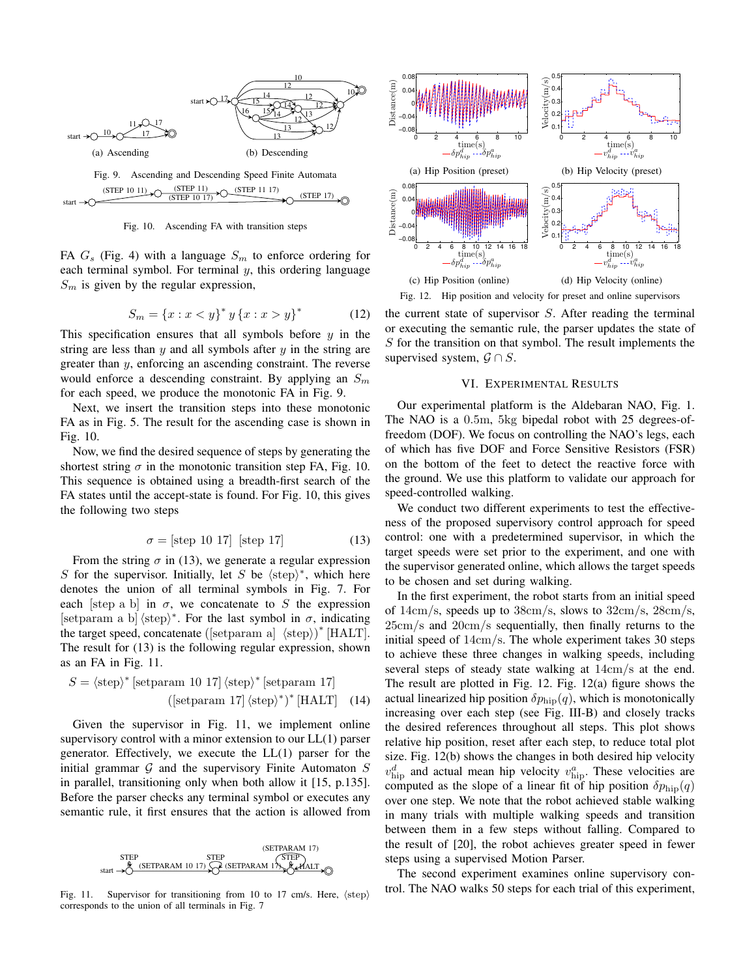

<span id="page-6-2"></span><span id="page-6-1"></span>Fig. 10. Ascending FA with transition steps

FA  $G_s$  [\(Fig. 4\)](#page-4-4) with a language  $S_m$  to enforce ordering for each terminal symbol. For terminal  $y$ , this ordering language  $S_m$  is given by the regular expression,

$$
S_m = \{x : x < y\}^* y \{x : x > y\}^* \tag{12}
$$

This specification ensures that all symbols before  $y$  in the string are less than  $y$  and all symbols after  $y$  in the string are greater than y, enforcing an ascending constraint. The reverse would enforce a descending constraint. By applying an  $S_m$ for each speed, we produce the monotonic FA in [Fig. 9.](#page-6-1)

Next, we insert the transition steps into these monotonic FA as in [Fig. 5.](#page-4-5) The result for the ascending case is shown in [Fig. 10.](#page-6-2)

Now, we find the desired sequence of steps by generating the shortest string  $\sigma$  in the monotonic transition step FA, [Fig. 10.](#page-6-2) This sequence is obtained using a breadth-first search of the FA states until the accept-state is found. For [Fig. 10,](#page-6-2) this gives the following two steps

$$
\sigma = \text{[step 10 17]} \text{[step 17]} \tag{13}
$$

<span id="page-6-3"></span>From the string  $\sigma$  in [\(13\)](#page-6-3), we generate a regular expression S for the supervisor. Initially, let S be  $\langle \text{step} \rangle^*$ , which here denotes the union of all terminal symbols in [Fig. 7.](#page-4-2) For each [step a b] in  $\sigma$ , we concatenate to S the expression [setparam a b]  $\langle \text{step} \rangle^*$ . For the last symbol in  $\sigma$ , indicating the target speed, concatenate  $($ [setparam a]  $\langle$ step $\rangle$  $)^*$  [HALT]. The result for [\(13\)](#page-6-3) is the following regular expression, shown as an FA in [Fig. 11.](#page-6-4)

$$
S = \langle \text{step} \rangle^* \left[ \text{setparam 10 17} \langle \text{step} \rangle^* \left[ \text{setparam 17} \right] \right. \tag{14}
$$
\n
$$
(\text{setparam 17} \langle \text{step} \rangle^*)^* \left[ \text{HALT} \right] \quad (14)
$$

Given the supervisor in [Fig. 11,](#page-6-4) we implement online supervisory control with a minor extension to our LL(1) parser generator. Effectively, we execute the LL(1) parser for the initial grammar  $G$  and the supervisory Finite Automaton  $S$ in parallel, transitioning only when both allow it [\[15,](#page-7-9) p.135]. Before the parser checks any terminal symbol or executes any semantic rule, it first ensures that the action is allowed from

<span id="page-6-4"></span>

Fig. 11. Supervisor for transitioning from 10 to 17 cm/s. Here,  $\langle \text{step} \rangle$ corresponds to the union of all terminals in [Fig. 7](#page-4-2)

<span id="page-6-7"></span><span id="page-6-6"></span>

<span id="page-6-5"></span>Fig. 12. Hip position and velocity for preset and online supervisors

the current state of supervisor S. After reading the terminal or executing the semantic rule, the parser updates the state of  $S$  for the transition on that symbol. The result implements the supervised system,  $\mathcal{G} \cap S$ .

## VI. EXPERIMENTAL RESULTS

<span id="page-6-0"></span>Our experimental platform is the Aldebaran NAO, [Fig. 1.](#page-1-0) The NAO is a 0.5m, 5kg bipedal robot with 25 degrees-offreedom (DOF). We focus on controlling the NAO's legs, each of which has five DOF and Force Sensitive Resistors (FSR) on the bottom of the feet to detect the reactive force with the ground. We use this platform to validate our approach for speed-controlled walking.

We conduct two different experiments to test the effectiveness of the proposed supervisory control approach for speed control: one with a predetermined supervisor, in which the target speeds were set prior to the experiment, and one with the supervisor generated online, which allows the target speeds to be chosen and set during walking.

In the first experiment, the robot starts from an initial speed of  $14 \text{cm/s}$ , speeds up to  $38 \text{cm/s}$ , slows to  $32 \text{cm/s}$ ,  $28 \text{cm/s}$ , 25cm/s and 20cm/s sequentially, then finally returns to the initial speed of 14cm/s. The whole experiment takes 30 steps to achieve these three changes in walking speeds, including several steps of steady state walking at 14cm/s at the end. The result are plotted in [Fig. 12.](#page-6-5) [Fig. 12\(a\)](#page-6-6) figure shows the actual linearized hip position  $\delta p_{\text{hip}}(q)$ , which is monotonically increasing over each step (see [Fig. III-B\)](#page-1-0) and closely tracks the desired references throughout all steps. This plot shows relative hip position, reset after each step, to reduce total plot size. [Fig. 12\(b\)](#page-6-7) shows the changes in both desired hip velocity  $v_{\rm hip}^d$  and actual mean hip velocity  $v_{\rm hip}^a$ . These velocities are computed as the slope of a linear fit of hip position  $\delta p_{\text{hip}}(q)$ over one step. We note that the robot achieved stable walking in many trials with multiple walking speeds and transition between them in a few steps without falling. Compared to the result of [\[20\]](#page-7-2), the robot achieves greater speed in fewer steps using a supervised Motion Parser.

The second experiment examines online supervisory control. The NAO walks 50 steps for each trial of this experiment,